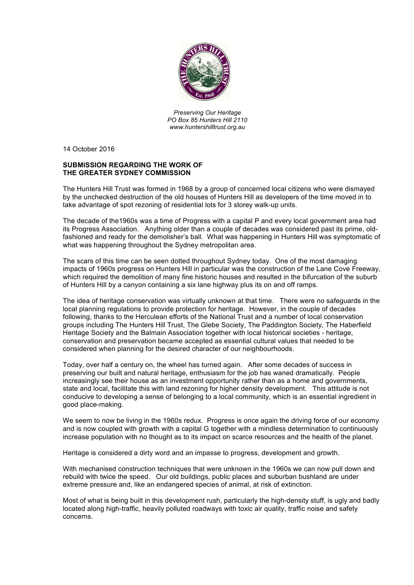

*Preserving Our Heritage PO Box 85 Hunters Hill 2110 www.huntershilltrust.org.au*

14 October 2016

## **SUBMISSION REGARDING THE WORK OF THE GREATER SYDNEY COMMISSION**

The Hunters Hill Trust was formed in 1968 by a group of concerned local citizens who were dismayed by the unchecked destruction of the old houses of Hunters Hill as developers of the time moved in to take advantage of spot rezoning of residential lots for 3 storey walk-up units.

The decade of the1960s was a time of Progress with a capital P and every local government area had its Progress Association. Anything older than a couple of decades was considered past its prime, oldfashioned and ready for the demolisher's ball. What was happening in Hunters Hill was symptomatic of what was happening throughout the Sydney metropolitan area.

The scars of this time can be seen dotted throughout Sydney today. One of the most damaging impacts of 1960s progress on Hunters Hill in particular was the construction of the Lane Cove Freeway, which required the demolition of many fine historic houses and resulted in the bifurcation of the suburb of Hunters Hill by a canyon containing a six lane highway plus its on and off ramps.

The idea of heritage conservation was virtually unknown at that time. There were no safeguards in the local planning regulations to provide protection for heritage. However, in the couple of decades following, thanks to the Herculean efforts of the National Trust and a number of local conservation groups including The Hunters Hill Trust, The Glebe Society, The Paddington Society, The Haberfield Heritage Society and the Balmain Association together with local historical societies - heritage, conservation and preservation became accepted as essential cultural values that needed to be considered when planning for the desired character of our neighbourhoods.

Today, over half a century on, the wheel has turned again. After some decades of success in preserving our built and natural heritage, enthusiasm for the job has waned dramatically. People increasingly see their house as an investment opportunity rather than as a home and governments, state and local, facilitate this with land rezoning for higher density development. This attitude is not conducive to developing a sense of belonging to a local community, which is an essential ingredient in good place-making.

We seem to now be living in the 1960s redux. Progress is once again the driving force of our economy and is now coupled with growth with a capital G together with a mindless determination to continuously increase population with no thought as to its impact on scarce resources and the health of the planet.

Heritage is considered a dirty word and an impasse to progress, development and growth.

With mechanised construction techniques that were unknown in the 1960s we can now pull down and rebuild with twice the speed. Our old buildings, public places and suburban bushland are under extreme pressure and, like an endangered species of animal, at risk of extinction.

Most of what is being built in this development rush, particularly the high-density stuff, is ugly and badly located along high-traffic, heavily polluted roadways with toxic air quality, traffic noise and safety concerns.